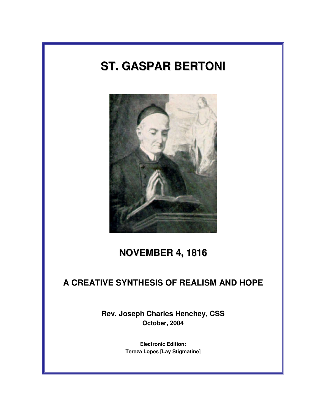# **ST. GASPAR BERTONI**



# **NOVEMBER 4, 1816**

# **A CREATIVE SYNTHESIS OF REALISM AND HOPE**

**Rev. Joseph Charles Henchey, CSS October, 2004** 

> **Electronic Edition: Tereza Lopes [Lay Stigmatine]**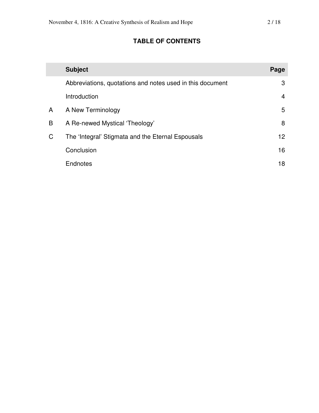## **TABLE OF CONTENTS**

|   | <b>Subject</b>                                            | Page            |
|---|-----------------------------------------------------------|-----------------|
|   | Abbreviations, quotations and notes used in this document | 3               |
|   | Introduction                                              | $\overline{4}$  |
| A | A New Terminology                                         | 5               |
| B | A Re-newed Mystical 'Theology'                            | 8               |
| C | The 'Integral' Stigmata and the Eternal Espousals         | 12 <sup>2</sup> |
|   | Conclusion                                                | 16              |
|   | Endnotes                                                  | 18              |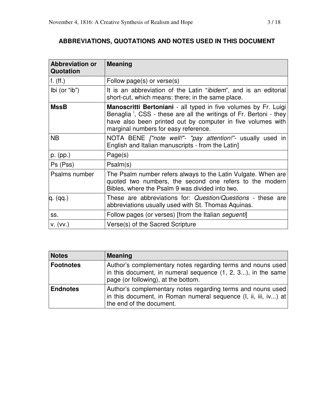### **ABBREVIATIONS, QUOTATIONS AND NOTES USED IN THIS DOCUMENT**

| <b>Abbreviation or</b><br>Quotation | <b>Meaning</b>                                                                                                                                                                                                                                           |
|-------------------------------------|----------------------------------------------------------------------------------------------------------------------------------------------------------------------------------------------------------------------------------------------------------|
| f. $(ff.)$                          | Follow page(s) or verse(s)                                                                                                                                                                                                                               |
| Ibi (or "ib")                       | It is an abbreviation of the Latin " <i>ibidem</i> ", and is an editorial<br>short-cut, which means: there; in the same place.                                                                                                                           |
| <b>MssB</b>                         | Manoscritti Bertoniani - all typed in five volumes by Fr. Luigi<br>Benaglia <sup>1</sup> , CSS - these are all the writings of Fr. Bertoni - they<br>have also been printed out by computer in five volumes with<br>marginal numbers for easy reference. |
| <b>NB</b>                           | NOTA BENE <i>["note well!"- "pay attention!"</i> - usually used in<br>English and Italian manuscripts - from the Latin]                                                                                                                                  |
| p. (pp.)                            | Page(s)                                                                                                                                                                                                                                                  |
| Ps (Pss)                            | Psalm(s)                                                                                                                                                                                                                                                 |
| Psalms number                       | The Psalm number refers always to the Latin Vulgate. When are<br>quoted two numbers, the second one refers to the modern<br>Bibles, where the Psalm 9 was divided into two.                                                                              |
| q. (qq.)                            | These are abbreviations for: Question/Questions - these are<br>abbreviations usually used with St. Thomas Aquinas.                                                                                                                                       |
| SS.                                 | Follow pages (or verses) [from the Italian seguenti]                                                                                                                                                                                                     |
| V. (VV.)                            | Verse(s) of the Sacred Scripture                                                                                                                                                                                                                         |

| <b>Notes</b>     | <b>Meaning</b>                                                                                                                                                     |
|------------------|--------------------------------------------------------------------------------------------------------------------------------------------------------------------|
| <b>Footnotes</b> | Author's complementary notes regarding terms and nouns used<br>in this document, in numeral sequence (1, 2, 3), in the same<br>page (or following), at the bottom. |
| <b>Endnotes</b>  | Author's complementary notes regarding terms and nouns used<br>in this document, in Roman numeral sequence (I, ii, iii, iv) at<br>the end of the document.         |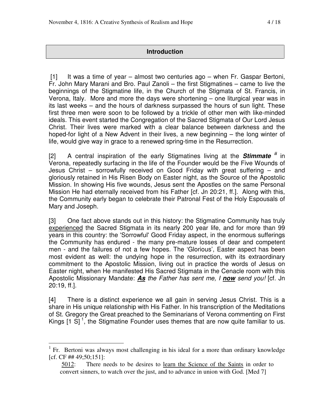#### **Introduction**

 [1] It was a time of year – almost two centuries ago – when Fr. Gaspar Bertoni, Fr. John Mary Marani and Bro. Paul Zanoli – the first Stigmatines – came to live the beginnings of the Stigmatine life, in the Church of the Stigmata of St. Francis, in Verona, Italy. More and more the days were shortening – one liturgical year was in its last weeks – and the hours of darkness surpassed the hours of sun light. These first three men were soon to be followed by a trickle of other men with like-minded ideals. This event started the Congregation of the Sacred Stigmata of Our Lord Jesus Christ. Their lives were marked with a clear balance between darkness and the hoped-for light of a New Advent in their lives, a new beginning – the long winter of life, would give way in grace to a renewed spring-time in the Resurrection.

[2] A central inspiration of the early Stigmatines living at the **Stimmate** *i* in Verona, repeatedly surfacing in the life of the Founder would be the Five Wounds of Jesus Christ – sorrowfully received on Good Friday with great suffering – and gloriously retained in His Risen Body on Easter night, as the Source of the Apostolic Mission. In showing His five wounds, Jesus sent the Apostles on the same Personal Mission He had eternally received from his Father [cf. Jn 20:21, ff.]. Along with this, the Community early began to celebrate their Patronal Fest of the Holy Espousals of Mary and Joseph.

[3] One fact above stands out in this history: the Stigmatine Community has truly experienced the Sacred Stigmata in its nearly 200 year life, and for more than 99 years in this country: the 'Sorrowful' Good Friday aspect, in the enormous sufferings the Community has endured - the many pre-mature losses of dear and competent men - and the failures of not a few hopes. The 'Glorious', Easter aspect has been most evident as well: the undying hope in the resurrection, with its extraordinary commitment to the Apostolic Mission, living out in practice the words of Jesus on Easter night, when He manifested His Sacred Stigmata in the Cenacle room with this Apostolic Missionary Mandate: **As** the Father has sent me, I **now** send you! [cf. Jn 20:19, ff.].

[4] There is a distinct experience we all gain in serving Jesus Christ. This is a share in His unique relationship with His Father. In his transcription of the Meditations of St. Gregory the Great preached to the Seminarians of Verona commenting on First Kings  $[1 S]$ <sup>1</sup>, the Stigmatine Founder uses themes that are now quite familiar to us.

<sup>1</sup> Fr. Bertoni was always most challenging in his ideal for a more than ordinary knowledge [cf. CF ## 49;50;151]:

<sup>5012:</sup> There needs to be desires to learn the Science of the Saints in order to convert sinners, to watch over the just, and to advance in union with God. [Med 7]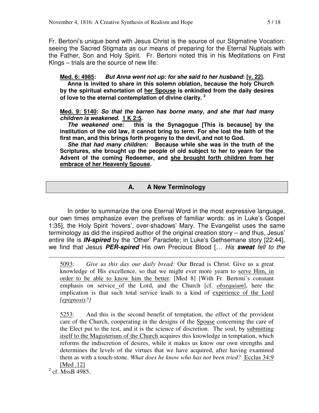Fr. Bertoni's unique bond with Jesus Christ is the source of our Stigmatine Vocation: seeing the Sacred Stigmata as our means of preparing for the Eternal Nuptials with the Father, Son and Holy Spirit. Fr. Bertoni noted this in his Meditations on First Kings – trials are the source of new life:

**Med. 6: 4985: But Anna went not up: for she said to her husband: [v. 22].** 

 **Anna is invited to share in this solemn oblation, because the holy Church by the spiritual exhortation of her Spouse is enkindled from the daily desires of love to the eternal contemplation of divine clarity. <sup>2</sup>**

**Med. 9: 5140: So that the barren has borne many, and she that had many children is weakened. 1 K 2:5.** 

**The weakened one: this is the Synagogue [This is because] by the institution of the old law, it cannot bring to term. For she lost the faith of the first man, and this brings forth progeny to the devil, and not to God.** 

**She that had many children: Because while she was in the truth of the Scriptures, she brought up the people of old subject to her to yearn for the Advent of the coming Redeemer, and she brought forth children from her embrace of her Heavenly Spouse.** 

#### **A. A New Terminology**

 In order to summarize the one Eternal Word in the most expressive language, our own times emphasize even the prefixes of familiar words: as in Luke's Gospel 1:35], the Holy Spirit 'hovers', over-shadows' Mary. The Evangelist uses the same terminology as did the inspired author of the original creation story – and thus, Jesus' entire life is **IN-spired** by the 'Other' Paraclete; in Luke's Gethsemane story [22:44], we find that Jesus **PER-spired** His own Precious Blood [… His **sweat** fell to the

5093: *Give us this day our daily bread:* Our Bread is Christ. Give us a great knowledge of His excellence, so that we might ever more yearn to serve Him, in order to be able to know him the better. [Med 8] [With Fr. Bertoni's constant emphasis on service of the Lord, and the Church [cf. *obsequium*], here the implication is that such total service leads to a kind of experience of the Lord [*epignosis?]*

5253: And this is the second benefit of temptation, the effect of the provident care of the Church, cooperating in the designs of the Spouse concerning the care of the Elect put to the test, and it is the science of discretion. The soul, by submitting itself to the Magisterium of the Church acquires this knowledge in temptation, which reforms the indiscretion of desires, while it makes us know our own strengths and determines the levels of the virtues that we have acquired, after having examined them as with a touch-stone. *What does he know who has not been tried?* Ecclus 34:9 [Med .12]

 $2$  cf. MssB 4985.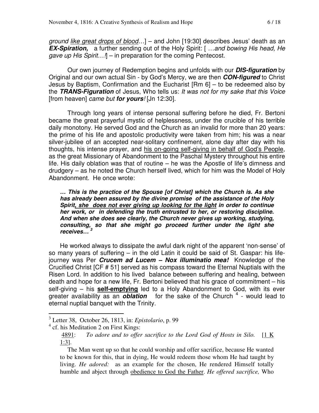ground like great drops of blood...] – and John [19:30] describes Jesus' death as an **EX-Spiration,** a further sending out of the Holy Spirit: [ …and bowing His head, He gave up His Spirit.... $\mathbb{I}$  – in preparation for the coming Pentecost.

 Our own journey of Redemption begins and unfolds with our **DIS-figuration** by Original and our own actual Sin - by God's Mercy, we are then **CON-figured** to Christ Jesus by Baptism, Confirmation and the Eucharist [Rm 6] – to be redeemed also by the **TRANS-Figuration** of Jesus, Who tells us: It was not for my sake that this Voice [from heaven] came but **for yours**! [Jn 12:30].

Through long years of intense personal suffering before he died, Fr. Bertoni became the great prayerful mystic of helplessness, under the crucible of his terrible daily monotony. He served God and the Church as an invalid for more than 20 years: the prime of his life and apostolic productivity were taken from him; his was a near silver-jubilee of an accepted near-solitary confinement, alone day after day with his thoughts, his intense prayer, and his on-going self-giving in behalf of God's People, as the great Missionary of Abandonment to the Paschal Mystery throughout his entire life. His daily oblation was that of routine – he was the Apostle of life's dimness and drudgery – as he noted the Church herself lived, which for him was the Model of Holy Abandonment. He once wrote:

**… This is the practice of the Spouse [of Christ] which the Church is. As she has already been assured by the divine promise of the assistance of the Holy Spirit, she does not ever giving up looking for the light in order to continue her work, or in defending the truth entrusted to her, or restoring discipline. And when she does see clearly, the Church never gives up working, studying, consulting, so that she might go proceed further under the light she receives… <sup>3</sup>**

He worked always to dissipate the awful dark night of the apparent 'non-sense' of so many years of suffering – in the old Latin it could be said of St. Gaspar: his lifejourney was Per **Crucem ad Lucem – Nox illuminatio mea!** Knowledge of the Crucified Christ [CF # 51] served as his compass toward the Eternal Nuptials with the Risen Lord. In addition to his lived balance between suffering and healing, between death and hope for a new life, Fr. Bertoni believed that his grace of commitment – his self-giving – his **self-emptying** led to a Holy Abandonment to God, with its ever greater availability as an *oblation* for the sake of the Church <sup>4</sup> - would lead to eternal nuptial banquet with the Trinity.

 3 Letter 38, October 26, 1813, in: *Epistolario*, p. 99

<sup>&</sup>lt;sup>4</sup> cf. his Meditation 2 on First Kings:

<sup>4891:</sup> *To adore and to offer sacrifice to the Lord God of Hosts in Silo.* [1 K 1:3].

The Man went up so that he could worship and offer sacrifice, because He wanted to be known for this, that in dying, He would redeem those whom He had taught by living. *He adored:* as an example for the chosen, He rendered Himself totally humble and abject through obedience to God the Father. *He offered sacrifice,* Who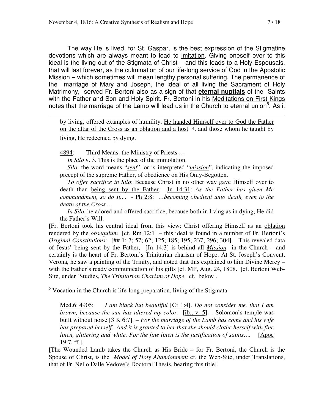The way life is lived, for St. Gaspar, is the best expression of the Stigmatine devotions which are always meant to lead to imitation. Giving oneself over to this ideal is the living out of the Stigmata of Christ – and this leads to a Holy Espousals, that will last forever, as the culmination of our life-long service of God in the Apostolic Mission – which sometimes will mean lengthy personal suffering. The permanence of the marriage of Mary and Joseph, the ideal of all living the Sacrament of Holy Matrimony, served Fr. Bertoni also as a sign of that **eternal nuptials** of the Saints with the Father and Son and Holy Spirit. Fr. Bertoni in his Meditations on First Kings notes that the marriage of the Lamb will lead us in the Church to eternal union<sup>5</sup>. As it

by living, offered examples of humility, He handed Himself over to God the Father on the altar of the Cross as an oblation and a host <sup>4</sup>, and those whom he taught by living, He redeemed by dying.

4894: Third Means: the Ministry of Priests …

 $\overline{a}$ 

*In Silo* <u>v. 3</u>. This is the place of the immolation.

*Silo*: the word means "*sent*", or is interpreted "*mission*", indicating the imposed precept of the supreme Father, of obedience on His Only-Begotten.

*To offer sacrifice in Silo*: Because Christ in no other way gave Himself over to death than being sent by the Father. Jn 14:31: *As the Father has given Me commandment, so do It....* - Ph 2:8: *…becoming obedient unto death, even to the death of the Cross....* 

 *In Silo*, he adored and offered sacrifice, because both in living as in dying, He did the Father's Will.

[Fr. Bertoni took his central ideal from this view: Christ offering Himself as an oblation rendered by the *obsequium* [cf. Rm 12:1] – this ideal is found in a number of Fr. Bertoni's *Original Constitutions:* [## 1; 7; 57; 62; 125; 185; 195; 237; 296; 304]. This revealed data of Jesus' being sent by the Father, [Jn 14:3] is behind all *Mission* in the Church – and certainly is the heart of Fr. Bertoni's Trinitarian charism of Hope. At St. Joseph's Convent, Verona, he saw a painting of the Trinity, and noted that this explained to him Divine Mercy – with the Father's ready communication of his gifts [cf. MP, Aug. 24, 1808. [cf. Bertoni Web-Site, under 'Studies, *The Trinitarian Charism of Hope*. cf. below].

 $<sup>5</sup>$  Vocation in the Church is life-long preparation, living of the Stigmata:</sup>

Med.6: 4905: *I am black but beautiful* [Ct 1:4]. *Do not consider me, that I am brown, because the sun has altered my color.* [ib., v. 5]. - Solomon's temple was built without noise [3 K 6:7]. – *For the marriage of the Lamb has come and his wife has prepared herself. And it is granted to her that she should clothe herself with fine linen, glittering and white. For the fine linen is the justification of saints….* [Apoc 19:7, ff.].

[The Wounded Lamb takes the Church as His Bride – for Fr. Bertoni, the Church is the Spouse of Christ, is the *Model of Holy Abandonment* cf. the Web-Site, under Translations, that of Fr. Nello Dalle Vedove's Doctoral Thesis, bearing this title].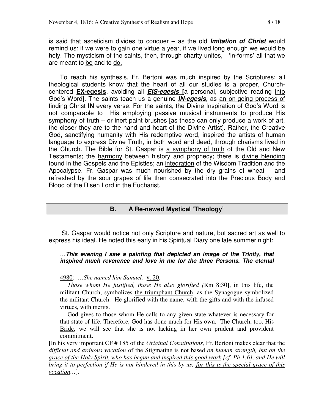is said that asceticism divides to conquer – as the old **Imitation of Christ** would remind us: if we were to gain one virtue a year, if we lived long enough we would be holy. The mysticism of the saints, then, through charity unites, 'in-forms' all that we are meant to be and to do.

To reach his synthesis, Fr. Bertoni was much inspired by the Scriptures: all theological students know that the heart of all our studies is a proper, Churchcentered **EX-egesis**, avoiding all **EIS-egesis [**a personal, subjective reading into God's Word]. The saints teach us a genuine **IN-egesis**, as an on-going process of finding Christ **IN** every verse. For the saints, the Divine Inspiration of God's Word is not comparable to His employing passive musical instruments to produce His symphony of truth – or inert paint brushes [as these can only produce a work of art, the closer they are to the hand and heart of the Divine Artist]. Rather, the Creative God, sanctifying humanity with His redemptive word, inspired the artists of human language to express Divine Truth, in both word and deed, through charisms lived in the Church. The Bible for St. Gaspar is a symphony of truth of the Old and New Testaments; the harmony between history and prophecy; there is divine blending found in the Gospels and the Epistles; an integration of the Wisdom Tradition and the Apocalypse. Fr. Gaspar was much nourished by the dry grains of wheat  $-$  and refreshed by the sour grapes of life then consecrated into the Precious Body and Blood of the Risen Lord in the Eucharist.

#### **B. A Re-newed Mystical 'Theology'**

 St. Gaspar would notice not only Scripture and nature, but sacred art as well to express his ideal. He noted this early in his Spiritual Diary one late summer night:

…**This evening I saw a painting that depicted an image of the Trinity, that inspired much reverence and love in me for the three Persons. The eternal** 

4980: …*She named him Samuel.* v. 20.

 $\overline{a}$ 

*Those whom He justified, those He also glorified [*Rm 8:30], in this life, the militant Church, symbolizes the triumphant Church, as the Synagogue symbolized the militant Church. He glorified with the name, with the gifts and with the infused virtues, with merits.

 God gives to those whom He calls to any given state whatever is necessary for that state of life. Therefore, God has done much for His own. The Church, too, His Bride, we will see that she is not lacking in her own prudent and provident commitment.

[In his very important CF # 185 of the *Original Constitutions,* Fr. Bertoni makes clear that the *difficult and arduous vocation* of the Stigmatine is not based *on human strength, but on the grace of the Holy Spirit, who has begun and inspired this good work [cf. Ph 1:6], and He will bring it to perfection if He is not hindered in this by us; for this is the special grace of this vocation…*].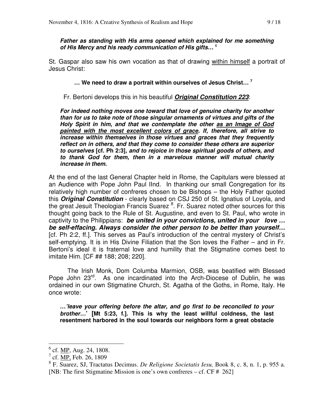**Father as standing with His arms opened which explained for me something of His Mercy and his ready communication of His gifts…** <sup>6</sup>

St. Gaspar also saw his own vocation as that of drawing within himself a portrait of Jesus Christ:

 **… We need to draw a portrait within ourselves of Jesus Christ… <sup>7</sup>**

Fr. Bertoni develops this in his beautiful **Original Constitution 223**:

**For indeed nothing moves one toward that love of genuine charity for another than for us to take note of those singular ornaments of virtues and gifts of the Holy Spirit in him, and that we contemplate the other as an Image of God painted with the most excellent colors of grace. If, therefore, all strive to increase within themselves in those virtues and graces that they frequently reflect on in others, and that they come to consider these others are superior to ourselves [cf. Ph 2:3], and to rejoice in those spiritual goods of others, and to thank God for them, then in a marvelous manner will mutual charity increase in them.** 

At the end of the last General Chapter held in Rome, the Capitulars were blessed at an Audience with Pope John Paul IInd. In thanking our small Congregation for its relatively high number of confreres chosen to be Bishops – the Holy Father quoted this **Original Constitution** - clearly based on CSJ 250 of St. Ignatius of Loyola, and the great Jesuit Theologian Francis Suarez <sup>8</sup>. Fr. Suarez noted other sources for this thought going back to the Rule of St. Augustine, and even to St. Paul, who wrote in captivity to the Philippians: **be united in your convictions, united in your love … be self-effacing. Always consider the other person to be better than yourself…**  [cf. Ph 2:2, ff.]. This serves as Paul's introduction of the central mystery of Christ's self-emptying. It is in His Divine Filiation that the Son loves the Father – and in Fr. Bertoni's ideal it is fraternal love and humility that the Stigmatine comes best to imitate Him. [CF ## 188; 208; 220].

 The Irish Monk, Dom Columba Marmion, OSB, was beatified with Blessed Pope John 23<sup>rd</sup>. As one incardinated into the Arch-Diocese of Dublin, he was ordained in our own Stigmatine Church, St. Agatha of the Goths, in Rome, Italy. He once wrote:

**…'leave your offering before the altar, and go first to be reconciled to your brother…' [Mt 5:23, f.]. This is why the least willful coldness, the last resentment harbored in the soul towards our neighbors form a great obstacle** 

<sup>&</sup>lt;sup>6</sup> cf. <u>MP,</u> Aug. 24, 1808.

 $^{7}$  cf. <u>MP</u>, Feb. 26, 1809

<sup>8</sup> F. Suarez, SJ, Tractatus Decimus. *De Religione Societatis Iesu,* Book 8, c. 8, n. 1, p. 955 a. [NB: The first Stigmatine Mission is one's own confreres – cf. CF # 262]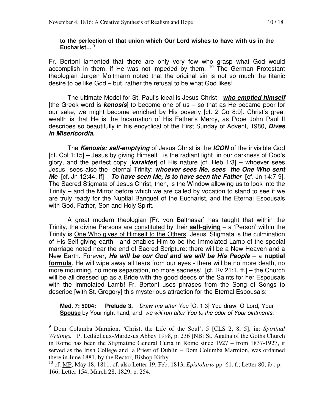#### **to the perfection of that union which Our Lord wishes to have with us in the Eucharist… <sup>9</sup>**

Fr. Bertoni lamented that there are only very few who grasp what God would accomplish in them, if He was not impeded by them. <sup>10</sup> The German Protestant theologian Jurgen Moltmann noted that the original sin is not so much the titanic desire to be like God – but, rather the refusal to be what God likes!

 The ultimate Model for St. Paul's ideal is Jesus Christ - **who emptied himself** [the Greek word is **kenosis**] to become one of us – so that as He became poor for our sake, we might become enriched by His poverty [cf. 2 Co 8:9]. Christ's great wealth is that He is the Incarnation of His Father's Mercy, as Pope John Paul II describes so beautifully in his encyclical of the First Sunday of Advent, 1980, **Dives in Misericordia.** 

The **Kenosis: self-emptying** of Jesus Christ is the **ICON** of the invisible God [cf. Col 1:15] – Jesus by giving Himself is the radiant light in our darkness of God's glory, and the perfect copy [**karakter**] of His nature [cf. Heb 1:3] – whoever sees Jesus sees also the eternal Trinity: **whoever sees Me, sees the One Who sent Me** [cf. Jn 12:44, ff] – **To have seen Me, is to have seen the Fathe**r **[**cf. Jn 14:7-9]. The Sacred Stigmata of Jesus Christ, then, is the Window allowing us to look into the Trinity – and the Mirror before which we are called by vocation to stand to see if we are truly ready for the Nuptial Banquet of the Eucharist, and the Eternal Espousals with God, Father, Son and Holy Spirit.

A great modern theologian [Fr. von Balthasar] has taught that within the Trinity, the divine Persons are constituted by their **self-giving** – a 'Person' within the Trinity is **One Who gives of Himself to the Others**. Jesus' Stigmata is the culmination of His Self-giving earth - and enables Him to be the Immolated Lamb of the special marriage noted near the end of Sacred Scripture: there will be a New Heaven and a New Earth. Forever, **He will be our God and we will be His People** – a **nuptial formula**. He will wipe away all tears from our eyes - there will be no more death, no more mourning, no more separation, no more sadness! [cf. Rv 21:1, ff.] – the Church will be all dressed up as a Bride with the good deeds of the Saints for her Espousals with the Immolated Lamb! Fr. Bertoni uses phrases from the Song of Songs to describe [with St. Gregory] this mysterious attraction for the Eternal Espousals:

**Med. 7: 5004: Prelude 3.** Draw me after You [Ct 1:3] You draw, O Lord, Your **Spouse** by Your right hand, and we will run after You to the odor of Your ointments:

 9 Dom Columba Marmion, 'Christ, the Life of the Soul', 5 [CLS 2, 8, 5], in: *Spiritual Writings.* P. Lethielleux-Mardesus Abbey 1998, p. 236 [NB: St. Agatha of the Goths Church in Rome has been the Stigmatine General Curia in Rome since 1927 – from 1837-1927, it served as the Irish College and a Priest of Dublin – Dom Columba Marmion, was ordained there in June 1881, by the Rector, Bishop Kirby.

<sup>10</sup> cf. MP, May 18, 1811. cf. also Letter 19, Feb. 1813, *Epistolario* pp. 61, f.; Letter 80, ib., p. 166; Letter 154, March 28, 1829, p. 254.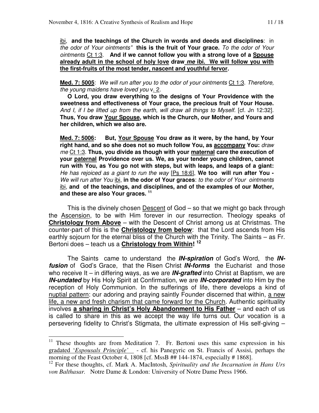ibi, **and the teachings of the Church in words and deeds and disciplines**: in the odor of Your ointments" **this is the fruit of Your grace.** To the odor of Your ointments Ct 1:3. **And if we cannot follow you with a strong love of a Spouse already adult in the school of holy love draw me ibi. We will follow you with the first-fruits of the most tender, nascent and youthful fervor.** 

**Med. 7: 5005**: We will run after you to the odor of your ointments Ct 1:3. Therefore, the young maidens have loved you v. 2.

**O Lord, you draw everything to the designs of Your Providence with the sweetness and effectiveness of Your grace, the precious fruit of Your House.**  And I, if I be lifted up from the earth, will draw all things to Myself. [cf. Jn 12:32]. **Thus, You draw Your Spouse, which is the Church, our Mother, and Yours and her children, which we also are.** 

**Med. 7: 5006: But, Your Spouse You draw as it were, by the hand, by Your right hand, and so she does not so much follow You, as accompany You:** draw me Ct 1:3. **Thus, you divide as though with your maternal care the execution of your paternal Providence over us. We, as your tender young children, cannot run with You, as You go not with steps, but with leaps, and leaps of a giant:**  He has rejoiced as a giant to run the way [Ps 18:6], **We too will run after You -**  We will run after You ibi, **in the odor of Your graces**: to the odor of Your ointments ibi, **and of the teachings, and disciplines, and of the examples of our Mother, and these are also Your graces. <sup>11</sup>**

This is the divinely chosen **Descent** of God – so that we might go back through the Ascension, to be with Him forever in our resurrection. Theology speaks of **Christology from Above** – with the Descent of Christ among us at Christmas. The counter-part of this is the **Christology from below**: that the Lord ascends from His earthly sojourn for the eternal bliss of the Church with the Trinity. The Saints – as Fr. Bertoni does – teach us a **Christology from Within! <sup>12</sup>**

The Saints came to understand the **IN-spiration** of God's Word, the **INfusion** of God's Grace, that the Risen Christ **IN-forms** the Eucharist and those who receive It – in differing ways, as we are **IN-grafted** into Christ at Baptism, we are **IN-undated** by His Holy Spirit at Confirmation, we are **IN-corporated** into Him by the reception of Holy Communion. In the sufferings of life, there develops a kind of nuptial pattern: our adoring and praying saintly Founder discerned that within, a new life, a new and fresh charism that came forward for the Church. Authentic spirituality involves **a sharing in Christ's Holy Abandonment to His Father** – and each of us is called to share in this as we accept the way life turns out. Our vocation is a persevering fidelity to Christ's Stigmata, the ultimate expression of His self-giving –

 $11$  These thoughts are from Meditation 7. Fr. Bertoni uses this same expression in his gradated '*Espousals Principle'* - cf. his Panegyric on St. Francis of Assisi, perhaps the morning of the Feast October 4, 1808 [cf. MssB ## 144-1874, especially # 1868].

<sup>12</sup> For these thoughts, cf. Mark A. MacIntosh, *Spirituality and the Incarnation in Hans Urs von Balthasar.* Notre Dame & London: University of Notre Dame Press 1966.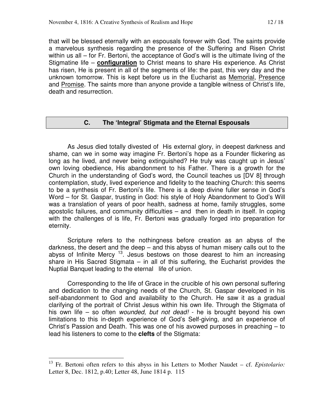that will be blessed eternally with an espousals forever with God. The saints provide a marvelous synthesis regarding the presence of the Suffering and Risen Christ within us all – for Fr. Bertoni, the acceptance of God's will is the ultimate living of the Stigmatine life – **configuration** to Christ means to share His experience. As Christ has risen, He is present in all of the segments of life: the past, this very day and the unknown tomorrow. This is kept before us in the Eucharist as Memorial, Presence and Promise. The saints more than anyone provide a tangible witness of Christ's life, death and resurrection.

#### **C. The 'Integral' Stigmata and the Eternal Espousals**

 As Jesus died totally divested of His external glory, in deepest darkness and shame, can we in some way imagine Fr. Bertoni's hope as a Founder flickering as long as he lived, and never being extinguished? He truly was caught up in Jesus' own loving obedience, His abandonment to his Father. There is a growth for the Church in the understanding of God's word, the Council teaches us [DV 8] through contemplation, study, lived experience and fidelity to the teaching Church: this seems to be a synthesis of Fr. Bertoni's life. There is a deep divine fuller sense in God's Word – for St. Gaspar, trusting in God: his style of Holy Abandonment to God's Will was a translation of years of poor health, sadness at home, family struggles, some apostolic failures, and community difficulties – and then in death in itself. In coping with the challenges of is life, Fr. Bertoni was gradually forged into preparation for eternity.

 Scripture refers to the nothingness before creation as an abyss of the darkness, the desert and the deep – and this abyss of human misery calls out to the abyss of Infinite Mercy  $13$ . Jesus bestows on those dearest to him an increasing share in His Sacred Stigmata – in all of this suffering, the Eucharist provides the Nuptial Banquet leading to the eternal life of union.

Corresponding to the life of Grace in the crucible of his own personal suffering and dedication to the changing needs of the Church, St. Gaspar developed in his self-abandonment to God and availability to the Church. He saw it as a gradual clarifying of the portrait of Christ Jesus within his own life. Through the Stigmata of his own life – so often wounded, but not dead! - he is brought beyond his own limitations to this in-depth experience of God's Self-giving, and an experience of Christ's Passion and Death. This was one of his avowed purposes in preaching – to lead his listeners to come to the **clefts** of the Stigmata:

<sup>13</sup> Fr. Bertoni often refers to this abyss in his Letters to Mother Naudet – cf. *Epistolario:*  Letter 8, Dec. 1812, p.40; Letter 48, June 1814 p. 115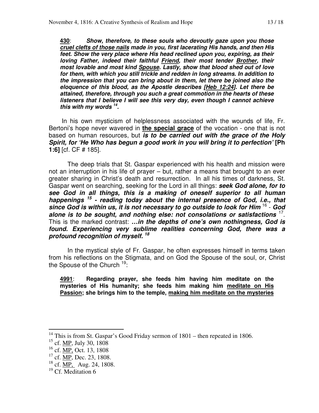**430**: **Show, therefore, to these souls who devoutly gaze upon you those cruel clefts of those nails made in you, first lacerating His hands, and then His feet. Show the very place where His head reclined upon you, expiring, as their loving Father, indeed their faithful Friend, their most tender Brother, their most lovable and most kind Spouse. Lastly, show that blood shed out of love for them, with which you still trickle and redden in long streams. In addition to the impression that you can bring about in them, let there be joined also the eloquence of this blood, as the Apostle describes [Heb 12:24]. Let there be attained, therefore, through you such a great commotion in the hearts of these listeners that I believe I will see this very day, even though I cannot achieve this with my words <sup>14</sup> .** 

 In his own mysticism of helplessness associated with the wounds of life, Fr. Bertoni's hope never wavered in **the special grace** of the vocation - one that is not based on human resources, but **is to be carried out with the grace of the Holy Spirit, for 'He Who has begun a good work in you will bring it to perfection' [Ph 1:6]** [cf. CF # 185].

 The deep trials that St. Gaspar experienced with his health and mission were not an interruption in his life of prayer – but, rather a means that brought to an ever greater sharing in Christ's death and resurrection. In all his times of darkness, St. Gaspar went on searching, seeking for the Lord in all things: **seek God alone, for to see God in all things, this is a making of oneself superior to all human happenings <sup>15</sup> - reading today about the internal presence of God, i.e., that**  since God is within us, it is not necessary to go outside to look for Him <sup>16</sup> - God **alone is to be sought, and nothing else: not consolations or satisfactions** <sup>17</sup> . This is the marked contrast: **…in the depths of one's own nothingness, God is found. Experiencing very sublime realities concerning God, there was a profound recognition of myself. <sup>18</sup>**

 In the mystical style of Fr. Gaspar, he often expresses himself in terms taken from his reflections on the Stigmata, and on God the Spouse of the soul, or, Christ the Spouse of the Church  $19$ :

**4991**: **Regarding prayer, she feeds him having him meditate on the mysteries of His humanity; she feeds him making him meditate on His Passion; she brings him to the temple, making him meditate on the mysteries** 

<sup>&</sup>lt;sup>14</sup> This is from St. Gaspar's Good Friday sermon of  $1801$  – then repeated in 1806.

 $15$  cf. MP, July 30, 1808

 $^{16}$  cf. MP, Oct. 13, 1808

 $17$  cf. MP, Dec. 23, 1808.

 $18$  cf. MP, Aug. 24, 1808.

 $19$  Cf. Meditation 6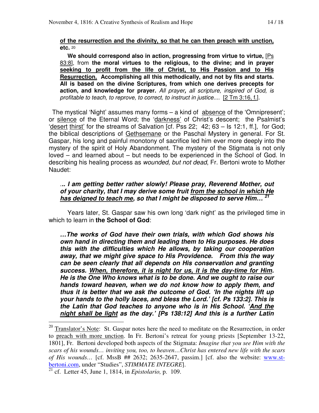#### **of the resurrection and the divinity, so that he can then preach with unction, etc.** <sup>20</sup>

**We should correspond also in action, progressing from virtue to virtue,** [Ps 83:8], from **the moral virtues to the religious, to the divine; and in prayer seeking to profit from the life of Christ, to His Passion and to His Resurrection. Accomplishing all this methodically, and not by fits and starts. All is based on the divine Scriptures, from which one derives precepts for action, and knowledge for prayer.** All prayer**,** all scripture, inspired of God, is profitable to teach, to reprove, to correct, to instruct in justice.... [2 Tm 3:16, f.].

 The mystical 'Night' assumes many forms – a kind of absence of the 'Omnipresent'; or silence of the Eternal Word; the 'darkness' of Christ's descent; the Psalmist's 'desert thirst' for the streams of Salvation [cf. Pss 22; 42; 63 – Is 12:1, ff.], for God; the biblical descriptions of Gethsemane or the Paschal Mystery in general. For St. Gaspar, his long and painful monotony of sacrifice led him ever more deeply into the mystery of the spirit of Holy Abandonment. The mystery of the Stigmata is not only loved – and learned about – but needs to be experienced in the School of God. In describing his healing process as wounded, but not dead, Fr. Bertoni wrote to Mother Naudet:

#### .**.. I am getting better rather slowly! Please pray, Reverend Mother, out of your charity, that I may derive some fruit from the school in which He has deigned to teach me, so that I might be disposed to serve Him… <sup>21</sup>**

 Years later, St. Gaspar saw his own long 'dark night' as the privileged time in which to learn in **the School of God**:

**…The works of God have their own trials, with which God shows his own hand in directing them and leading them to His purposes. He does this with the difficulties which He allows, by taking our cooperation away, that we might give space to His Providence. From this the way can be seen clearly that all depends on His conservation and granting success. When, therefore, it is night for us, it is the day-time for Him. He is the One Who knows what is to be done. And we ought to raise our hands toward heaven, when we do not know how to apply them, and thus it is better that we ask the outcome of God. 'In the nights lift up your hands to the holly laces, and bless the Lord.' [cf. Ps 133:2]. This is the Latin that God teaches to anyone who is in His School. 'And the night shall be light as the day.' [Ps 138:12] And this is a further Latin** 

 $20$  Translator's Note: St. Gaspar notes here the need to meditate on the Resurrection, in order to preach with more unction. In Fr. Bertoni's retreat for young priests [September 13-22, 1801], Fr. Bertoni developed both aspects of the Stigmata: *Imagine that you see Him with the scars of his wounds… inviting you, too, to heaven…Christ has entered new life with the scars of His wounds…* [cf. MssB ## 2632; 2635-2647, passim.] [cf. also the website: www.stbertoni.com, under "Studies", *STIMMATE INTEGRE*].

<sup>21</sup> cf. Letter 45, June 1, 1814, in *Epistolario,* p. 109.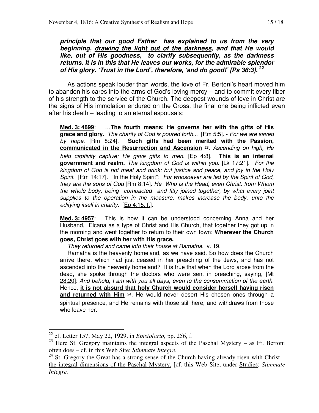**principle that our good Father has explained to us from the very beginning, drawing the light out of the darkness, and that He would like, out of His goodness, to clarify subsequently, as the darkness returns. It is in this that He leaves our works, for the admirable splendor of His glory. 'Trust in the Lord', therefore, 'and do good!' [Ps 36:3]. <sup>22</sup>**

 As actions speak louder than words, the love of Fr. Bertoni's heart moved him to abandon his cares into the arms of God's loving mercy – and to commit every fiber of his strength to the service of the Church. The deepest wounds of love in Christ are the signs of His immolation endured on the Cross, the final one being inflicted even after his death – leading to an eternal espousals:

**Med. 3: 4899**: …**The fourth means: He governs her with the gifts of His grace and glory.** The charity of God is poured forth... [Rm 5:5]. - For we are saved by hope. [Rm 8:24]. **Such gifts had been merited with the Passion, communicated in the Resurrection and Ascension <sup>23</sup>**. Ascending on high, He held captivity captive; He gave gifts to men. [Ep 4:8]. **This is an internal government and realm.** The kingdom of God is within you. [Lk 17:21]. For the kingdom of God is not meat and drink; but justice and peace, and joy in the Holy Spirit. [Rm 14:17]. "In the Holy Spirit": For whosoever are led by the Spirit of God, they are the sons of God [Rm 8:14]. He Who is the Head, even Christ: from Whom the whole body, being compacted and fitly joined together, by what every joint supplies to the operation in the measure, makes increase the body, unto the edifying itself in charity. [Ep 4:15, f.].

**Med. 3: 4957**: This is how it can be understood concerning Anna and her Husband, Elcana as a type of Christ and His Church, that together they got up in the morning and went together to return to their own town: **Wherever the Church goes, Christ goes with her with His grace.** 

They returned and came into their house at Ramatha. v. 19.

 Ramatha is the heavenly homeland, as we have said. So how does the Church arrive there, which had just ceased in her preaching of the Jews, and has not ascended into the heavenly homeland? It is true that when the Lord arose from the dead, she spoke through the doctors who were sent in preaching, saying, [Mt 28:20]: And behold, I am with you all days, even to the consummation of the earth. Hence, **it is not absurd that holy Church would consider herself having risen**  and returned with Him <sup>24</sup>. He would never desert His chosen ones through a spiritual presence, and He remains with those still here, and withdraws from those who leave her.

 $\overline{a}$ <sup>22</sup> cf. Letter 157, May 22, 1929, in *Epistolario,* pp. 256, f.

<sup>&</sup>lt;sup>23</sup> Here St. Gregory maintains the integral aspects of the Paschal Mystery – as Fr. Bertoni often does – cf. in this Web Site: *Stimmate Integre.*

<sup>&</sup>lt;sup>24</sup> St. Gregory the Great has a strong sense of the Church having already risen with Christ – the integral dimensions of the Paschal Mystery. [cf. this Web Site, under Studies: *Stimmate Integre.*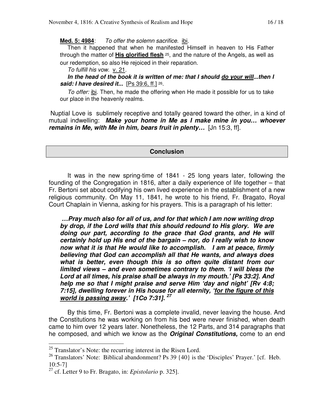**Med. 5: 4984**: To offer the solemn sacrifice. ibi.

 Then it happened that when he manifested Himself in heaven to His Father through the matter of **His glorified flesh** <sup>25</sup>, and the nature of the Angels, as well as our redemption, so also He rejoiced in their reparation.

To fulfill his vow. v. 21.

**In the head of the book it is written of me: that I should do your will...then I said: I have desired it...** [Ps 39:6, ff.] <sup>26</sup>.

To offer: ibi. Then, he made the offering when He made it possible for us to take our place in the heavenly realms.

 Nuptial Love is sublimely receptive and totally geared toward the other, in a kind of mutual indwelling: **Make your home in Me as I make mine in you… whoever remains in Me, with Me in him, bears fruit in plenty…** [Jn 15:3, ff].

#### **Conclusion**

It was in the new spring-time of 1841 - 25 long years later, following the founding of the Congregation in 1816, after a daily experience of life together – that Fr. Bertoni set about codifying his own lived experience in the establishment of a new religious community. On May 11, 1841, he wrote to his friend, Fr. Bragato, Royal Court Chaplain in Vienna, asking for his prayers. This is a paragraph of his letter:

 **…Pray much also for all of us, and for that which I am now writing drop by drop, if the Lord wills that this should redound to His glory. We are doing our part, according to the grace that God grants, and He will certainly hold up His end of the bargain – nor, do I really wish to know now what it is that He would like to accomplish. I am at peace, firmly believing that God can accomplish all that He wants, and always does what is better, even though this is so often quite distant from our limited views – and even sometimes contrary to them. 'I will bless the Lord at all times, his praise shall be always in my mouth.' [Ps 33:2]. And help me so that I might praise and serve Him 'day and night' [Rv 4:8; 7:15], dwelling forever in His house for all eternity, 'for the figure of this world is passing away.' [1Co 7:31]. <sup>27</sup>**

 By this time, Fr. Bertoni was a complete invalid, never leaving the house. And the Constitutions he was working on from his bed were never finished, when death came to him over 12 years later. Nonetheless, the 12 Parts, and 314 paragraphs that he composed, and which we know as the **Original Constitutions,** come to an end

 $25$  Translator's Note: the recurring interest in the Risen Lord.

<sup>&</sup>lt;sup>26</sup> Translators' Note: Biblical abandonment? Ps 39  $\{40\}$  is the 'Disciples' Prayer.' [cf. Heb. 10:5-7]

<sup>27</sup> cf. Letter 9 to Fr. Bragato, in: *Epistolario* p. 325].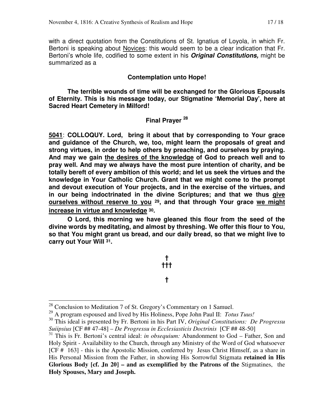with a direct quotation from the Constitutions of St. Ignatius of Loyola, in which Fr. Bertoni is speaking about Novices: this would seem to be a clear indication that Fr. Bertoni's whole life, codified to some extent in his **Original Constitutions,** might be summarized as a

#### **Contemplation unto Hope!**

 **The terrible wounds of time will be exchanged for the Glorious Epousals of Eternity. This is his message today, our Stigmatine 'Memorial Day', here at Sacred Heart Cemetery in Milford!** 

#### **Final Prayer <sup>28</sup>**

**5041**: **COLLOQUY. Lord, bring it about that by corresponding to Your grace and guidance of the Church, we, too, might learn the proposals of great and strong virtues, in order to help others by preaching, and ourselves by praying. And may we gain the desires of the knowledge of God to preach well and to pray well. And may we always have the most pure intention of charity, and be totally bereft of every ambition of this world; and let us seek the virtues and the knowledge in Your Catholic Church. Grant that we might come to the prompt and devout execution of Your projects, and in the exercise of the virtues, and in our being indoctrinated in the divine Scriptures; and that we thus give ourselves without reserve to you <sup>29</sup>, and that through Your grace we might increase in virtue and knowledge <sup>30</sup>.** 

 **O Lord, this morning we have gleaned this flour from the seed of the divine words by meditating, and almost by threshing. We offer this flour to You, so that You might grant us bread, and our daily bread, so that we might live to carry out Your Will 31.** 

# **† †††**

**†** 

 $\overline{\phantom{a}}$ 

 $28$  Conclusion to Meditation 7 of St. Gregory's Commentary on 1 Samuel.

<sup>29</sup> A program espoused and lived by His Holiness, Pope John Paul II: *Totus Tuus!* 

<sup>30</sup> This ideal is presented by Fr. Bertoni in his Part IV, *Original Constitutions: De Progressu Suiipsius* [CF ## 47-48] – *De Progressu in Ecclesiasticis Doctrinis* [CF ## 48-50]

<sup>31</sup> This is Fr. Bertoni's central ideal: *in obsequium:* Abandonment to God – Father, Son and Holy Spirit - Availability to the Church, through any Ministry of the Word of God whatsoever [CF # 163] - this is the Apostolic Mission, conferred by Jesus Christ Himself, as a share in His Personal Mission from the Father, in showing His Sorrowful Stigmata **retained in His Glorious Body [cf. Jn 20] – and as exemplified by the Patrons of the** Stigmatines, the **Holy Spouses, Mary and Joseph.**